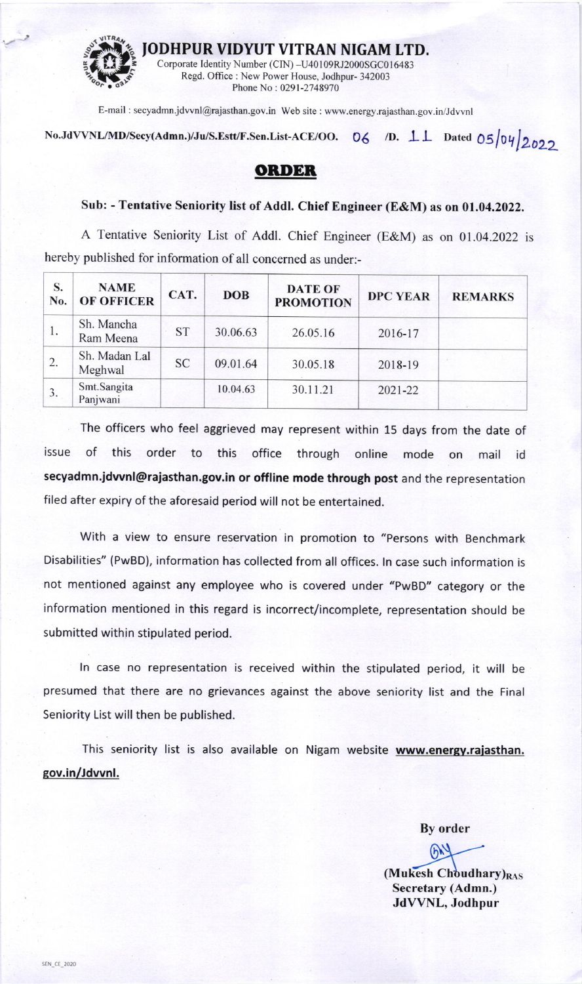

JODHPUR VIDYUT VITRAN NIGAM LTD.<br>Corporate Identity Number (CIN) -U40109RJ2000SGC016483

Regd. Office : New Power House, Jodhpur- 342003<br>Phone No : 0291-2748970

E-mail : secyadmn jdwnl@rajasthan.gov.in Web site : www.energy.rajasthan.gov.in/Jdwnl

No.JdVVNL/MD/Secy(Admn.)/Ju/S.Estt/F.Sen.List-ACE/OO. 06 /D.  $\perp\perp$  Dated 05/04/2022

## ORDER

## Sub: - Tentative Seniority list of Addl. Chief Engineer (E&M) as on 01.04.2022.

A Tentative Seniority List of Addl. Chief Engineer (E&M) as on 01.04.2022 is hereby published for information of all concerned as under:-

| S.<br>No. | <b>NAME</b><br><b>OF OFFICER</b> | CAT.      | <b>DOB</b> | <b>DATE OF</b><br><b>PROMOTION</b> | <b>DPC YEAR</b> | <b>REMARKS</b> |
|-----------|----------------------------------|-----------|------------|------------------------------------|-----------------|----------------|
|           | Sh. Mancha<br>Ram Meena          | <b>ST</b> | 30.06.63   | 26.05.16                           | 2016-17         |                |
| 2.        | Sh. Madan Lal<br>Meghwal         | <b>SC</b> | 09.01.64   | 30.05.18                           | 2018-19         |                |
| 3.        | Smt.Sangita<br>Panjwani          |           | 10.04.63   | 30.11.21                           | 2021-22         |                |

The officers who feel aggrieved may represent within 15 days from the date of issue of this order to this office through online mode on mail id secyadmn.jdwnl@rajasthan.gov.in or offline mode through post and the representation filed after expiry of the aforesaid period will not be entertained.

With a view to ensure reservation in promotion to "persons with Benchmark Disabilities" (PwBD), information has collected from all offices. ln case such information is not mentioned against any employee who is covered under "pwBD" category or the information mentioned in this regard is incorrect/incomplete, representation should be submitted within stipulated period.

ln case no representation is received within the stipulated period, it will be presumed that there are no grievances against the above seniority list and the Final Seniority List will then be published.

This seniority list is also available on Nigam website www.energy.rajasthan. gov.in/dwnl.

Bv order

 $6<sup>N</sup>$  $(Mu$ kesh Choudhary) $_{RAS}$ Secretary (Admn.) JdWNL, Jodhpur